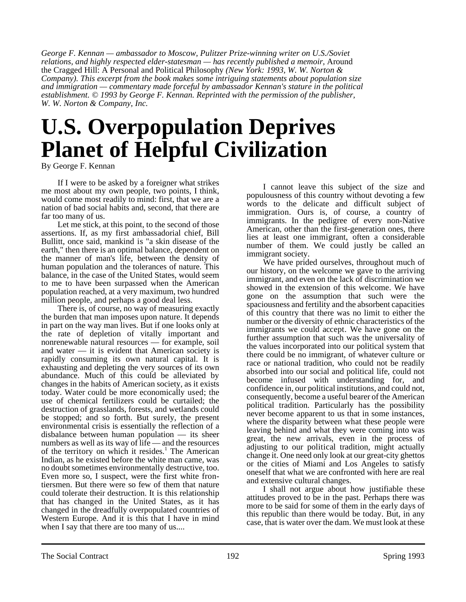*George F. Kennan — ambassador to Moscow, Pulitzer Prize-winning writer on U.S./Soviet relations, and highly respected elder-statesman — has recently published a memoir,* Around the Cragged Hill: A Personal and Political Philosophy *(New York: 1993, W. W. Norton & Company). This excerpt from the book makes some intriguing statements about population size and immigration — commentary made forceful by ambassador Kennan's stature in the political establishment. © 1993 by George F. Kennan. Reprinted with the permission of the publisher, W. W. Norton & Company, Inc.*

## **U.S. Overpopulation Deprives Planet of Helpful Civilization**

By George F. Kennan

If I were to be asked by a foreigner what strikes me most about my own people, two points, I think, would come most readily to mind: first, that we are a nation of bad social habits and, second, that there are far too many of us.

Let me stick, at this point, to the second of those assertions. If, as my first ambassadorial chief, Bill Bullitt, once said, mankind is "a skin disease of the earth," then there is an optimal balance, dependent on the manner of man's life, between the density of human population and the tolerances of nature. This balance, in the case of the United States, would seem to me to have been surpassed when the American population reached, at a very maximum, two hundred million people, and perhaps a good deal less.

There is, of course, no way of measuring exactly the burden that man imposes upon nature. It depends in part on the way man lives. But if one looks only at the rate of depletion of vitally important and nonrenewable natural resources — for example, soil and water — it is evident that American society is rapidly consuming its own natural capital. It is exhausting and depleting the very sources of its own abundance. Much of this could be alleviated by changes in the habits of American society, as it exists today. Water could be more economically used; the use of chemical fertilizers could be curtailed; the destruction of grasslands, forests, and wetlands could be stopped; and so forth. But surely, the present environmental crisis is essentially the reflection of a disbalance between human population — its sheer numbers as well as its way of life — and the resources of the territory on which it resides.<sup>1</sup> The American Indian, as he existed before the white man came, was no doubt sometimes environmentally destructive, too. Even more so, I suspect, were the first white frontiersmen. But there were so few of them that nature could tolerate their destruction. It is this relationship that has changed in the United States, as it has changed in the dreadfully overpopulated countries of Western Europe. And it is this that I have in mind when I say that there are too many of us....

I cannot leave this subject of the size and populousness of this country without devoting a few words to the delicate and difficult subject of immigration. Ours is, of course, a country of immigrants. In the pedigree of every non-Native American, other than the first-generation ones, there lies at least one immigrant, often a considerable number of them. We could justly be called an immigrant society.

We have prided ourselves, throughout much of our history, on the welcome we gave to the arriving immigrant, and even on the lack of discrimination we showed in the extension of this welcome. We have gone on the assumption that such were the spaciousness and fertility and the absorbent capacities of this country that there was no limit to either the number or the diversity of ethnic characteristics of the immigrants we could accept. We have gone on the further assumption that such was the universality of the values incorporated into our political system that there could be no immigrant, of whatever culture or race or national tradition, who could not be readily absorbed into our social and political life, could not become infused with understanding for, and confidence in, our political institutions, and could not, consequently, become a useful bearer of the American political tradition. Particularly has the possibility never become apparent to us that in some instances, where the disparity between what these people were leaving behind and what they were coming into was great, the new arrivals, even in the process of adjusting to our political tradition, might actually change it. One need only look at our great-city ghettos or the cities of Miami and Los Angeles to satisfy oneself that what we are confronted with here are real and extensive cultural changes.

I shall not argue about how justifiable these attitudes proved to be in the past. Perhaps there was more to be said for some of them in the early days of this republic than there would be today. But, in any case, that is water over the dam. We must look at these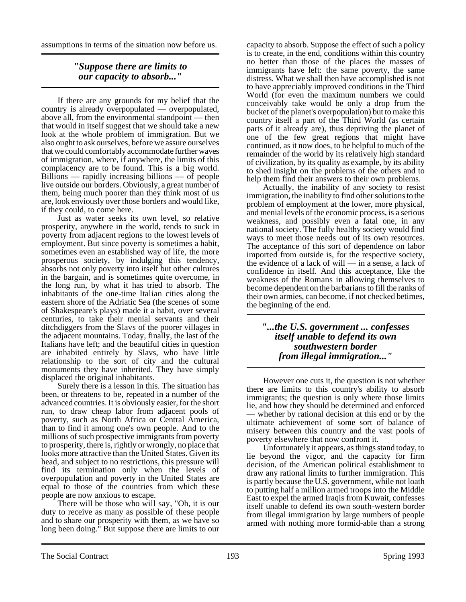assumptions in terms of the situation now before us.

## *"Suppose there are limits to our capacity to absorb..."*

If there are any grounds for my belief that the country is already overpopulated — overpopulated, above all, from the environmental standpoint — then that would in itself suggest that we should take a new look at the whole problem of immigration. But we also ought to ask ourselves, before we assure ourselves that we could comfortably accommodate further waves of immigration, where, if anywhere, the limits of this complacency are to be found. This is a big world. Billions — rapidly increasing billions — of people live outside our borders. Obviously, a great number of them, being much poorer than they think most of us are, look enviously over those borders and would like, if they could, to come here.

Just as water seeks its own level, so relative prosperity, anywhere in the world, tends to suck in poverty from adjacent regions to the lowest levels of employment. But since poverty is sometimes a habit, sometimes even an established way of life, the more prosperous society, by indulging this tendency, absorbs not only poverty into itself but other cultures in the bargain, and is sometimes quite overcome, in the long run, by what it has tried to absorb. The inhabitants of the one-time Italian cities along the eastern shore of the Adriatic Sea (the scenes of some of Shakespeare's plays) made it a habit, over several centuries, to take their menial servants and their ditchdiggers from the Slavs of the poorer villages in the adjacent mountains. Today, finally, the last of the Italians have left; and the beautiful cities in question are inhabited entirely by Slavs, who have little relationship to the sort of city and the cultural monuments they have inherited. They have simply displaced the original inhabitants.

Surely there is a lesson in this. The situation has been, or threatens to be, repeated in a number of the advanced countries. It is obviously easier, for the short run, to draw cheap labor from adjacent pools of poverty, such as North Africa or Central America, than to find it among one's own people. And to the millions of such prospective immigrants from poverty to prosperity, there is, rightly or wrongly, no place that looks more attractive than the United States. Given its head, and subject to no restrictions, this pressure will find its termination only when the levels of overpopulation and poverty in the United States are equal to those of the countries from which these people are now anxious to escape.

There will be those who will say, "Oh, it is our duty to receive as many as possible of these people and to share our prosperity with them, as we have so long been doing." But suppose there are limits to our capacity to absorb. Suppose the effect of such a policy is to create, in the end, conditions within this country no better than those of the places the masses of immigrants have left: the same poverty, the same distress. What we shall then have accomplished is not to have appreciably improved conditions in the Third World (for even the maximum numbers we could conceivably take would be only a drop from the bucket of the planet's overpopulation) but to make this country itself a part of the Third World (as certain parts of it already are), thus depriving the planet of one of the few great regions that might have continued, as it now does, to be helpful to much of the remainder of the world by its relatively high standard of civilization, by its quality as example, by its ability to shed insight on the problems of the others and to help them find their answers to their own problems.

Actually, the inability of any society to resist immigration, the inability to find other solutions to the problem of employment at the lower, more physical, and menial levels of the economic process, is a serious weakness, and possibly even a fatal one, in any national society. The fully healthy society would find ways to meet those needs out of its own resources. The acceptance of this sort of dependence on labor imported from outside is, for the respective society, the evidence of a lack of will — in a sense, a lack of confidence in itself. And this acceptance, like the weakness of the Romans in allowing themselves to become dependent on the barbarians to fill the ranks of their own armies, can become, if not checked betimes, the beginning of the end.

*"...the U.S. government ... confesses itself unable to defend its own southwestern border from illegal immigration..."*

However one cuts it, the question is not whether there are limits to this country's ability to absorb immigrants; the question is only where those limits lie, and how they should be determined and enforced whether by rational decision at this end or by the ultimate achievement of some sort of balance of misery between this country and the vast pools of poverty elsewhere that now confront it.

Unfortunately it appears, as things stand today, to lie beyond the vigor, and the capacity for firm decision, of the American political establishment to draw any rational limits to further immigration. This is partly because the U.S. government, while not loath to putting half a million armed troops into the Middle East to expel the armed Iraqis from Kuwait, confesses itself unable to defend its own south-western border from illegal immigration by large numbers of people armed with nothing more formid-able than a strong